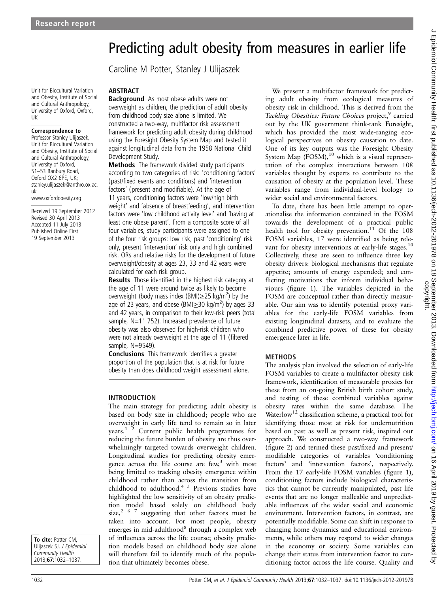# Predicting adult obesity from measures in earlier life

Caroline M Potter, Stanley J Ulijaszek

Unit for Biocultural Variation and Obesity, Institute of Social and Cultural Anthropology, University of Oxford, Oxford, UK

#### Correspondence to

Professor Stanley Ulijaszek, Unit for Biocultural Variation and Obesity, Institute of Social and Cultural Anthropology, University of Oxford, 51–53 Banbury Road, Oxford OX2 6PE, UK; stanley.ulijaszek@anthro.ox.ac. uk

www.oxfordobesity.org

Received 19 September 2012 Revised 30 April 2013 Accepted 11 July 2013 Published Online First 19 September 2013

ABSTRACT Background As most obese adults were not overweight as children, the prediction of adult obesity from childhood body size alone is limited. We constructed a two-way, multifactor risk assessment framework for predicting adult obesity during childhood using the Foresight Obesity System Map and tested it against longitudinal data from the 1958 National Child Development Study.

Methods The framework divided study participants according to two categories of risk: 'conditioning factors' (past/fixed events and conditions) and 'intervention factors' (present and modifiable). At the age of 11 years, conditioning factors were 'low/high birth weight' and 'absence of breastfeeding', and intervention factors were 'low childhood activity level' and 'having at least one obese parent'. From a composite score of all four variables, study participants were assigned to one of the four risk groups: low risk, past 'conditioning' risk only, present 'intervention' risk only and high combined risk. ORs and relative risks for the development of future overweight/obesity at ages 23, 33 and 42 years were calculated for each risk group.

Results Those identified in the highest risk category at the age of 11 were around twice as likely to become overweight (body mass index (BMI) $\geq$ 25 kg/m<sup>2</sup>) by the age of 23 years, and obese (BMI $\geq$ 30 kg/m<sup>2</sup>) by ages 33 and 42 years, in comparison to their low-risk peers (total sample, N=11 752). Increased prevalence of future obesity was also observed for high-risk children who were not already overweight at the age of 11 (filtered sample, N=9549).

Conclusions This framework identifies a greater proportion of the population that is at risk for future obesity than does childhood weight assessment alone.

## INTRODUCTION

The main strategy for predicting adult obesity is based on body size in childhood; people who are overweight in early life tend to remain so in later years.<sup>1</sup> <sup>2</sup> Current public health programmes for reducing the future burden of obesity are thus overwhelmingly targeted towards overweight children. Longitudinal studies for predicting obesity emergence across the life course are  $f_{\text{ew}}^3$  with most being limited to tracking obesity emergence within childhood rather than across the transition from childhood to adulthood.<sup>4 5</sup> Previous studies have highlighted the low sensitivity of an obesity prediction model based solely on childhood body size,<sup>267</sup> suggesting that other factors must be taken into account. For most people, obesity emerges in mid-adulthood $8$  through a complex web of influences across the life course; obesity prediction models based on childhood body size alone will therefore fail to identify much of the population that ultimately becomes obese.

We present a multifactor framework for predicting adult obesity from ecological measures of obesity risk in childhood. This is derived from the Tackling Obesities: Future Choices project,<sup>9</sup> carried out by the UK government think-tank Foresight, which has provided the most wide-ranging ecological perspectives on obesity causation to date. One of its key outputs was the Foresight Obesity System Map  $(FOSM)$ , <sup>10</sup> which is a visual representation of the complex interactions between 108 variables thought by experts to contribute to the causation of obesity at the population level. These variables range from individual-level biology to wider social and environmental factors.

To date, there has been little attempt to operationalise the information contained in the FOSM towards the development of a practical public health tool for obesity prevention.<sup>11</sup> Of the 108 FOSM variables, 17 were identified as being relevant for obesity interventions at early-life stages.<sup>10</sup> Collectively, these are seen to influence three key obesity drivers: biological mechanisms that regulate appetite; amounts of energy expended; and conflicting motivations that inform individual behaviours (figure 1). The variables depicted in the FOSM are conceptual rather than directly measurable. Our aim was to identify potential proxy variables for the early-life FOSM variables from existing longitudinal datasets, and to evaluate the combined predictive power of these for obesity emergence later in life.

## METHODS

The analysis plan involved the selection of early-life FOSM variables to create a multifactor obesity risk framework, identification of measurable proxies for these from an on-going British birth cohort study, and testing of these combined variables against obesity rates within the same database. The Waterlow<sup>12</sup> classification scheme, a practical tool for identifying those most at risk for undernutrition based on past as well as present risk, inspired our approach. We constructed a two-way framework (figure 2) and termed these past/fixed and present/ modifiable categories of variables 'conditioning factors' and 'intervention factors', respectively. From the 17 early-life FOSM variables (figure 1), conditioning factors include biological characteristics that cannot be currently manipulated, past life events that are no longer malleable and unpredictable influences of the wider social and economic environment. Intervention factors, in contrast, are potentially modifiable. Some can shift in response to changing home dynamics and educational environments, while others may respond to wider changes in the economy or society. Some variables can change their status from intervention factor to conditioning factor across the life course. Quality and

To cite: Potter CM. Ulijaszek SJ. J Epidemiol Community Health 2013;67:1032–1037.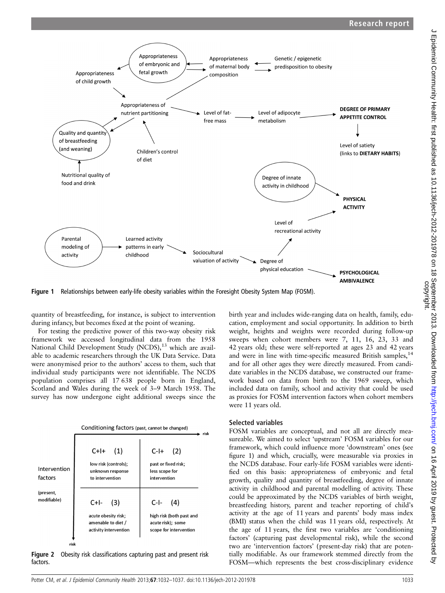

Figure 1 Relationships between early-life obesity variables within the Foresight Obesity System Map (FOSM).

quantity of breastfeeding, for instance, is subject to intervention during infancy, but becomes fixed at the point of weaning.

For testing the predictive power of this two-way obesity risk framework we accessed longitudinal data from the 1958 National Child Development Study (NCDS),<sup>13</sup> which are available to academic researchers through the UK Data Service. Data were anonymised prior to the authors' access to them, such that individual study participants were not identifiable. The NCDS population comprises all 17 638 people born in England, Scotland and Wales during the week of 3–9 March 1958. The survey has now undergone eight additional sweeps since the



Figure 2 Obesity risk classifications capturing past and present risk factors.

birth year and includes wide-ranging data on health, family, education, employment and social opportunity. In addition to birth weight, heights and weights were recorded during follow-up sweeps when cohort members were 7, 11, 16, 23, 33 and 42 years old; these were self-reported at ages 23 and 42 years and were in line with time-specific measured British samples,  $14$ and for all other ages they were directly measured. From candidate variables in the NCDS database, we constructed our framework based on data from birth to the 1969 sweep, which included data on family, school and activity that could be used as proxies for FOSM intervention factors when cohort members were 11 years old.

#### Selected variables

FOSM variables are conceptual, and not all are directly measureable. We aimed to select 'upstream' FOSM variables for our framework, which could influence more 'downstream' ones (see figure 1) and which, crucially, were measurable via proxies in the NCDS database. Four early-life FOSM variables were identified on this basis: appropriateness of embryonic and fetal growth, quality and quantity of breastfeeding, degree of innate activity in childhood and parental modelling of activity. These could be approximated by the NCDS variables of birth weight, breastfeeding history, parent and teacher reporting of child's activity at the age of 11 years and parents' body mass index (BMI) status when the child was 11 years old, respectively. At the age of 11 years, the first two variables are 'conditioning factors' (capturing past developmental risk), while the second two are 'intervention factors' (present-day risk) that are potentially modifiable. As our framework stemmed directly from the FOSM—which represents the best cross-disciplinary evidence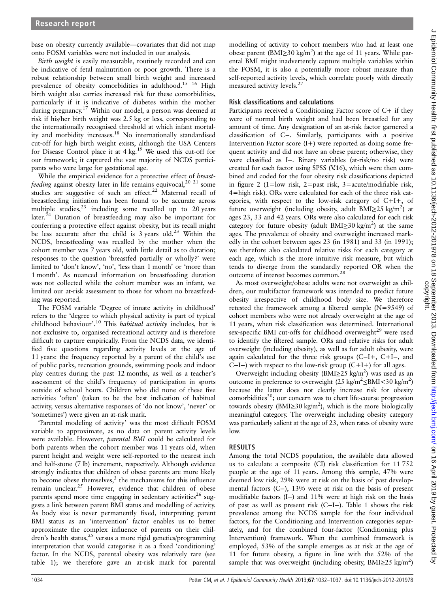base on obesity currently available—covariates that did not map onto FOSM variables were not included in our analysis.

Birth weight is easily measurable, routinely recorded and can be indicative of fetal malnutrition or poor growth. There is a robust relationship between small birth weight and increased prevalence of obesity comorbidities in adulthood.<sup>15</sup> <sup>16</sup> High birth weight also carries increased risk for these comorbidities, particularly if it is indicative of diabetes within the mother during pregnancy.<sup>17</sup> Within our model, a person was deemed at risk if his/her birth weight was 2.5 kg or less, corresponding to the internationally recognised threshold at which infant mortality and morbidity increases.<sup>18</sup> No internationally standardised cut-off for high birth weight exists, although the USA Centers for Disease Control place it at  $4 \text{ kg}$ .<sup>19</sup> We used this cut-off for our framework; it captured the vast majority of NCDS participants who were large for gestational age.

While the empirical evidence for a protective effect of breastfeeding against obesity later in life remains equivocal,<sup>20 21</sup> some studies are suggestive of such an effect.<sup>22</sup> Maternal recall of breastfeeding initiation has been found to be accurate across multiple studies,  $23$  including some recalled up to 20 years later.<sup>24</sup> Duration of breastfeeding may also be important for conferring a protective effect against obesity, but its recall might be less accurate after the child is  $3$  years old.<sup>23</sup> Within the NCDS, breastfeeding was recalled by the mother when the cohort member was 7 years old, with little detail as to duration; responses to the question 'breastfed partially or wholly?' were limited to 'don't know', 'no', 'less than 1 month' or 'more than 1 month'. As nuanced information on breastfeeding duration was not collected while the cohort member was an infant, we limited our at-risk assessment to those for whom no breastfeeding was reported.

The FOSM variable 'Degree of innate activity in childhood' refers to the 'degree to which physical activity is part of typical childhood behaviour'.<sup>10</sup> This habitual activity includes, but is not exclusive to, organised recreational activity and is therefore difficult to capture empirically. From the NCDS data, we identified five questions regarding activity levels at the age of 11 years: the frequency reported by a parent of the child's use of public parks, recreation grounds, swimming pools and indoor play centres during the past 12 months, as well as a teacher's assessment of the child's frequency of participation in sports outside of school hours. Children who did none of these five activities 'often' (taken to be the best indication of habitual activity, versus alternative responses of 'do not know', 'never' or 'sometimes') were given an at-risk mark.

'Parental modeling of activity' was the most difficult FOSM variable to approximate, as no data on parent activity levels were available. However, parental BMI could be calculated for both parents when the cohort member was 11 years old, when parent height and weight were self-reported to the nearest inch and half-stone (7 lb) increment, respectively. Although evidence strongly indicates that children of obese parents are more likely to become obese themselves, $3$  the mechanisms for this influence remain unclear.<sup>25</sup> However, evidence that children of obese parents spend more time engaging in sedentary activities<sup>26</sup> suggests a link between parent BMI status and modelling of activity. As body size is never permanently fixed, interpreting parent BMI status as an 'intervention' factor enables us to better approximate the complex influence of parents on their children's health status,<sup>25</sup> versus a more rigid genetics/programming interpretation that would categorise it as a fixed 'conditioning' factor. In the NCDS, parental obesity was relatively rare (see table 1); we therefore gave an at-risk mark for parental

modelling of activity to cohort members who had at least one obese parent (BMI≥30 kg/m<sup>2</sup>) at the age of 11 years. While parental BMI might inadvertently capture multiple variables within the FOSM, it is also a potentially more robust measure than self-reported activity levels, which correlate poorly with directly measured activity levels.<sup>27</sup>

## Risk classifications and calculations

Participants received a Conditioning Factor score of C+ if they were of normal birth weight and had been breastfed for any amount of time. Any designation of an at-risk factor garnered a classification of C−. Similarly, participants with a positive Intervention Factor score  $(I+)$  were reported as doing some frequent activity and did not have an obese parent; otherwise, they were classified as I−. Binary variables (at-risk/no risk) were created for each factor using SPSS (V.16), which were then combined and coded for the four obesity risk classifications depicted in figure 2 (1=low risk, 2=past risk, 3=acute/modifiable risk, 4=high risk). ORs were calculated for each of the three risk categories, with respect to the low-risk category of C+I+, of future overweight (including obesity, adult BMI≥25 kg/m<sup>2</sup>) at ages 23, 33 and 42 years. ORs were also calculated for each risk category for future obesity (adult BMI $\geq$ 30 kg/m<sup>2</sup>) at the same ages. The prevalence of obesity and overweight increased markedly in the cohort between ages 23 (in 1981) and 33 (in 1991); we therefore also calculated relative risks for each category at each age, which is the more intuitive risk measure, but which tends to diverge from the standardly reported OR when the outcome of interest becomes common.28

As most overweight/obese adults were not overweight as children, our multifactor framework was intended to predict future obesity irrespective of childhood body size. We therefore retested the framework among a filtered sample (N=9549) of cohort members who were not already overweight at the age of 11 years, when risk classification was determined. International sex-specific BMI cut-offs for childhood overweight<sup>29</sup> were used to identify the filtered sample. ORs and relative risks for adult overweight (including obesity), as well as for adult obesity, were again calculated for the three risk groups (C−I+, C+I−, and C−I−) with respect to the low-risk group (C+I+) for all ages.

Overweight including obesity ( $BMI \geq 25$  kg/m<sup>2</sup>) was used as an outcome in preference to overweight  $(25 \text{ kg/m}^2 \leq \text{BMI} < 30 \text{ kg/m}^2)$ because the latter does not clearly increase risk for obesity comorbidities $^{30}$ ; our concern was to chart life-course progression towards obesity (BMI≥30 kg/m<sup>2</sup>), which is the more biologically meaningful category. The overweight including obesity category was particularly salient at the age of 23, when rates of obesity were low.

# RESULTS

Among the total NCDS population, the available data allowed us to calculate a composite (CI) risk classification for 11 752 people at the age of 11 years. Among this sample, 47% were deemed low risk, 29% were at risk on the basis of past developmental factors (C−), 13% were at risk on the basis of present modifiable factors (I−) and 11% were at high risk on the basis of past as well as present risk (C−I−). Table 1 shows the risk prevalence among the NCDS sample for the four individual factors, for the Conditioning and Intervention categories separately, and for the combined four-factor (Conditioning plus Intervention) framework. When the combined framework is employed, 53% of the sample emerges as at risk at the age of 11 for future obesity, a figure in line with the 52% of the sample that was overweight (including obesity, BMI≥25 kg/m<sup>2</sup>)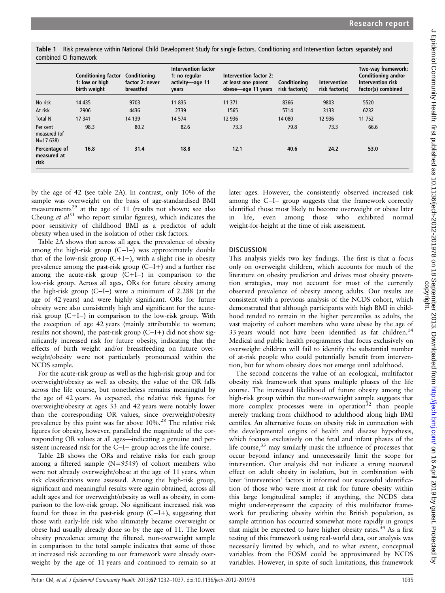Table 1 Risk prevalence within National Child Development Study for single factors, Conditioning and Intervention factors separately and combined CI framework

|                                       | <b>Conditioning factor</b><br>1: low or high<br>birth weight | Conditioning<br>factor 2: never<br>breastfed | Intervention factor<br>1: no regular<br>activity-age 11<br>years | Intervention factor 2:<br>at least one parent<br>obese-age 11 years | Conditioning<br>risk factor(s) | Intervention<br>risk factor(s) | Two-way framework:<br>Conditioning and/or<br>Intervention risk<br>factor(s) combined |  |
|---------------------------------------|--------------------------------------------------------------|----------------------------------------------|------------------------------------------------------------------|---------------------------------------------------------------------|--------------------------------|--------------------------------|--------------------------------------------------------------------------------------|--|
| No risk                               | 14 4 35                                                      | 9703                                         | 11 8 35                                                          | 11 371                                                              | 8366                           | 9803                           | 5520                                                                                 |  |
| At risk                               | 2906                                                         | 4436                                         | 2739                                                             | 1565                                                                | 5714                           | 3133                           | 6232                                                                                 |  |
| Total N                               | 17 341                                                       | 14 139                                       | 14 5 74                                                          | 12 9 36                                                             | 14 080                         | 12 9 36                        | 11 752                                                                               |  |
| Per cent<br>measured (of<br>$N=17638$ | 98.3                                                         | 80.2                                         | 82.6                                                             | 73.3                                                                | 79.8                           | 73.3                           | 66.6                                                                                 |  |
| Percentage of<br>measured at<br>risk  | 16.8                                                         | 31.4                                         | 18.8                                                             | 12.1                                                                | 40.6                           | 24.2                           | 53.0                                                                                 |  |

by the age of 42 (see table 2A). In contrast, only 10% of the sample was overweight on the basis of age-standardised BMI measurements<sup>29</sup> at the age of 11 (results not shown; see also Cheung et  $al^{31}$  who report similar figures), which indicates the poor sensitivity of childhood BMI as a predictor of adult obesity when used in the isolation of other risk factors.

Table 2A shows that across all ages, the prevalence of obesity among the high-risk group (C−I−) was approximately double that of the low-risk group  $(C+I+)$ , with a slight rise in obesity prevalence among the past-risk group (C−I+) and a further rise among the acute-risk group (C+I−) in comparison to the low-risk group. Across all ages, ORs for future obesity among the high-risk group (C−I−) were a minimum of 2.288 (at the age of 42 years) and were highly significant. ORs for future obesity were also consistently high and significant for the acuterisk group (C+I−) in comparison to the low-risk group. With the exception of age 42 years (mainly attributable to women; results not shown), the past-risk group (C−I+) did not show significantly increased risk for future obesity, indicating that the effects of birth weight and/or breastfeeding on future overweight/obesity were not particularly pronounced within the NCDS sample.

For the acute-risk group as well as the high-risk group and for overweight/obesity as well as obesity, the value of the OR falls across the life course, but nonetheless remains meaningful by the age of 42 years. As expected, the relative risk figures for overweight/obesity at ages 33 and 42 years were notably lower than the corresponding OR values, since overweight/obesity prevalence by this point was far above 10%.<sup>28</sup> The relative risk figures for obesity, however, paralleled the magnitude of the corresponding OR values at all ages—indicating a genuine and persistent increased risk for the C−I− group across the life course.

Table 2B shows the ORs and relative risks for each group among a filtered sample (N=9549) of cohort members who were not already overweight/obese at the age of 11 years, when risk classifications were assessed. Among the high-risk group, significant and meaningful results were again obtained, across all adult ages and for overweight/obesity as well as obesity, in comparison to the low-risk group. No significant increased risk was found for those in the past-risk group (C−I+), suggesting that those with early-life risk who ultimately became overweight or obese had usually already done so by the age of 11. The lower obesity prevalence among the filtered, non-overweight sample in comparison to the total sample indicates that some of those at increased risk according to our framework were already overweight by the age of 11 years and continued to remain so at later ages. However, the consistently observed increased risk among the C−I− group suggests that the framework correctly identified those most likely to become overweight or obese later in life, even among those who exhibited normal weight-for-height at the time of risk assessment.

# **DISCUSSION**

This analysis yields two key findings. The first is that a focus only on overweight children, which accounts for much of the literature on obesity prediction and drives most obesity prevention strategies, may not account for most of the currently observed prevalence of obesity among adults. Our results are consistent with a previous analysis of the NCDS cohort, which demonstrated that although participants with high BMI in childhood tended to remain in the higher percentiles as adults, the vast majority of cohort members who were obese by the age of 33 years would not have been identified as fat children.<sup>14</sup> Medical and public health programmes that focus exclusively on overweight children will fail to identify the substantial number of at-risk people who could potentially benefit from intervention, but for whom obesity does not emerge until adulthood.

The second concerns the value of an ecological, multifactor obesity risk framework that spans multiple phases of the life course. The increased likelihood of future obesity among the high-risk group within the non-overweight sample suggests that more complex processes were in operation $32$  than people merely tracking from childhood to adulthood along high BMI centiles. An alternative focus on obesity risk in connection with the developmental origins of health and disease hypothesis, which focuses exclusively on the fetal and infant phases of the life course, $33$  may similarly mask the influence of processes that occur beyond infancy and unnecessarily limit the scope for intervention. Our analysis did not indicate a strong neonatal effect on adult obesity in isolation, but in combination with later 'intervention' factors it informed our successful identification of those who were most at risk for future obesity within this large longitudinal sample; if anything, the NCDS data might under-represent the capacity of this multifactor framework for predicting obesity within the British population, as sample attrition has occurred somewhat more rapidly in groups that might be expected to have higher obesity rates. $34$  As a first testing of this framework using real-world data, our analysis was necessarily limited by which, and to what extent, conceptual variables from the FOSM could be approximated by NCDS variables. However, in spite of such limitations, this framework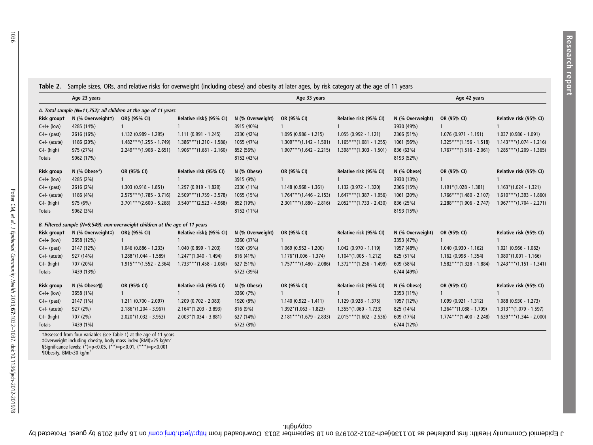Table 2. Sample sizes, ORs, and relative risks for overweight (including obese) and obesity at later ages, by risk category at the age of 11 years

|                                                                 | Age 23 years              |                                                                              |                            | Age 33 years     |                            |                            | Age 42 years     |                            |                            |  |  |  |  |
|-----------------------------------------------------------------|---------------------------|------------------------------------------------------------------------------|----------------------------|------------------|----------------------------|----------------------------|------------------|----------------------------|----------------------------|--|--|--|--|
| A. Total sample (N=11,752): all children at the age of 11 years |                           |                                                                              |                            |                  |                            |                            |                  |                            |                            |  |  |  |  |
| Risk groupt                                                     | N (% Overweight#)         | OR§ (95% CI)                                                                 | Relative risk§ (95% CI)    | N (% Overweight) | OR (95% CI)                | Relative risk (95% CI)     | N (% Overweight) | OR (95% CI)                | Relative risk (95% CI)     |  |  |  |  |
| $C+I+ (low)$                                                    | 4285 (14%)                |                                                                              |                            | 3915 (40%)       |                            |                            | 3930 (49%)       |                            |                            |  |  |  |  |
| $C-I+$ (past)                                                   | 2616 (16%)                | 1.132 (0.989 - 1.295)                                                        | $1.111 (0.991 - 1.245)$    | 2330 (42%)       | $1.095(0.986 - 1.215)$     | $1.055(0.992 - 1.121)$     | 2366 (51%)       | $1.076(0.971 - 1.191)$     | $1.037(0.986 - 1.091)$     |  |  |  |  |
| $C+I-$ (acute)                                                  | 1186 (20%)                | $1.482***(1.255 - 1.749)$                                                    | $1.386***(1.210-1.586)$    | 1055 (47%)       | $1.309***$ (1.142 - 1.501) | $1.165***(1.081 - 1.255)$  | 1061 (56%)       | $1.325***(1.156 - 1.518)$  | $1.143***(1.074-1.216)$    |  |  |  |  |
| C-I- (high)                                                     | 975 (27%)                 | $2.249***$ (1.908 - 2.651)                                                   | $1.906***(1.681 - 2.160)$  | 852 (56%)        | $1.907***$ (1.642 - 2.215) | $1.398***$ (1.303 - 1.501) | 836 (63%)        | $1.767***(1.516 - 2.061)$  | $1.285***(1.209 - 1.365)$  |  |  |  |  |
| Totals                                                          | 9062 (17%)                |                                                                              |                            | 8152 (43%)       |                            |                            | 8193 (52%)       |                            |                            |  |  |  |  |
| <b>Risk group</b>                                               | N (% Obese <sup>4</sup> ) | OR (95% CI)                                                                  | Relative risk (95% CI)     | N (% Obese)      | OR (95% CI)                | Relative risk (95% CI)     | N (% Obese)      | OR (95% CI)                | Relative risk (95% CI)     |  |  |  |  |
| $C+I+$ (low)                                                    | 4285 (2%)                 |                                                                              |                            | 3915 (9%)        |                            |                            | 3930 (13%)       |                            |                            |  |  |  |  |
| $C-I+$ (past)                                                   | 2616 (2%)                 | $1.303(0.918 - 1.851)$                                                       | 1.297 (0.919 - 1.829)      | 2330 (11%)       | $1.148(0.968 - 1.361)$     | $1.132$ (0.972 - 1.320)    | 2366 (15%)       | $1.191*(1.028 - 1.381)$    | $1.163*(1.024 - 1.321)$    |  |  |  |  |
| $C+I-$ (acute)                                                  | 1186 (4%)                 | $2.575***(1.785 - 3.716)$                                                    | $2.509***$ (1.759 - 3.578) | 1055 (15%)       | $1.764***(1.446 - 2.153)$  | $1.647***$ (1.387 - 1.956) | 1061 (20%)       | $1.766***(1.480 - 2.107)$  | $1.610***(1.393 - 1.860)$  |  |  |  |  |
| C-I- (high)                                                     | 975 (6%)                  | $3.701***$ (2.600 - 5.268)                                                   | $3.540***$ (2.523 - 4.968) | 852 (19%)        | $2.301***$ (1.880 - 2.816) | $2.052***(1.733 - 2.430)$  | 836 (25%)        | $2.288***$ (1.906 - 2.747) | $1.967***(1.704 - 2.271)$  |  |  |  |  |
| Totals                                                          | 9062 (3%)                 |                                                                              |                            | 8152 (11%)       |                            |                            | 8193 (15%)       |                            |                            |  |  |  |  |
|                                                                 |                           | B. Filtered sample (N=9,549): non-overweight children at the age of 11 years |                            |                  |                            |                            |                  |                            |                            |  |  |  |  |
| Risk groupt                                                     | N (% Overweight#)         | OR§ (95% CI)                                                                 | Relative risk§ (95% CI)    | N (% Overweight) | OR (95% CI)                | Relative risk (95% CI)     | N (% Overweight) | OR (95% CI)                | Relative risk (95% CI)     |  |  |  |  |
| $C+I+$ (low)                                                    | 3658 (12%)                |                                                                              |                            | 3360 (37%)       |                            |                            | 3353 (47%)       |                            |                            |  |  |  |  |
| $C-I+$ (past)                                                   | 2147 (12%)                | 1.046 (0.886 - 1.233)                                                        | $1.040$ (0.899 - 1.203)    | 1920 (39%)       | $1.069$ (0.952 - 1.200)    | 1.042 (0.970 - 1.119)      | 1957 (48%)       | $1.040$ (0.930 - 1.162)    | $1.021$ (0.966 - 1.082)    |  |  |  |  |
| $C+I-$ (acute)                                                  | 927 (14%)                 | $1.288*(1.044 - 1.589)$                                                      | $1.247*(1.040 - 1.494)$    | 816 (41%)        | $1.176*(1.006 - 1.374)$    | $1.104*(1.005 - 1.212)$    | 825 (51%)        | 1.162 (0.998 - 1.354)      | $1.080*(1.001 - 1.166)$    |  |  |  |  |
| C-I- (high)                                                     | 707 (20%)                 | $1.915***(1.552 - 2.364)$                                                    | $1.733***(1.458 - 2.060)$  | 627 (51%)        | $1.757***$ (1.480 - 2.086) | $1.372***$ (1.256 - 1.499) | 609 (58%)        | $1.582***$ (1.328 - 1.884) | $1.243***(1.151 - 1.341)$  |  |  |  |  |
| Totals                                                          | 7439 (13%)                |                                                                              |                            | 6723 (39%)       |                            |                            | 6744 (49%)       |                            |                            |  |  |  |  |
| <b>Risk group</b>                                               | N (% Obese¶)              | OR (95% CI)                                                                  | Relative risk (95% CI)     | N (% Obese)      | OR (95% CI)                | Relative risk (95% CI)     | N (% Obese)      | OR (95% CI)                | Relative risk (95% CI)     |  |  |  |  |
| $C+I+$ (low)                                                    | 3658 (1%)                 |                                                                              |                            | 3360 (7%)        |                            |                            | 3353 (11%)       |                            |                            |  |  |  |  |
| $C-I+$ (past)                                                   | 2147 (1%)                 | $1.211$ (0.700 - 2.097)                                                      | $1.209$ (0.702 - 2.083)    | 1920 (8%)        | $1.140(0.922 - 1.411)$     | $1.129(0.928 - 1.375)$     | 1957 (12%)       | 1.099 (0.921 - 1.312)      | $1.088$ (0.930 - 1.273)    |  |  |  |  |
| $C+I-$ (acute)                                                  | 927 (2%)                  | $2.186*(1.204 - 3.967)$                                                      | $2.164*(1.203 - 3.893)$    | 816 (9%)         | $1.392*(1.063 - 1.823)$    | $1.355*(1.060 - 1.733)$    | 825 (14%)        | $1.364**$ (1.088 - 1.709)  | $1.313**$ (1.079 - 1.597)  |  |  |  |  |
| C-I- (high)                                                     | 707 (2%)                  | $2.020*(1.032 - 3.953)$                                                      | $2.003*(1.034 - 3.881)$    | 627 (14%)        | $2.181***$ (1.679 - 2.833) | $2.015***(1.602 - 2.536)$  | 609 (17%)        | $1.774***$ (1.400 - 2.248) | $1.639***$ (1.344 - 2.000) |  |  |  |  |
| Totals                                                          | 7439 (1%)                 |                                                                              |                            | 6723 (8%)        |                            |                            | 6744 (12%)       |                            |                            |  |  |  |  |

‡Overweight including obesity, body mass index (BMI)>25 kg/m<sup>2</sup> §Significance levels: (\*)=p<0.05, (\*\*)=p<0.01, (\*\*\*)=p<0.001<br>¶Obesity, BMI>30 kg/m<sup>2</sup>

copyright.